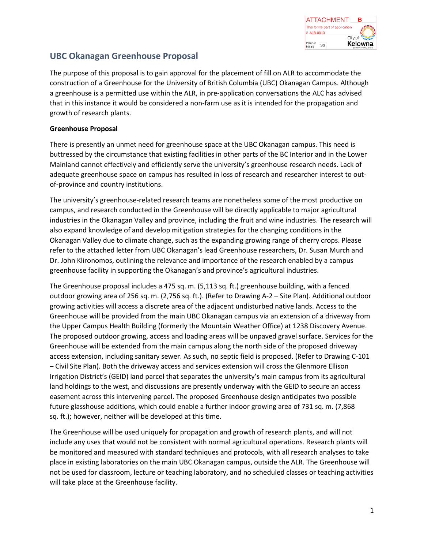

# **UBC Okanagan Greenhouse Proposal**

The purpose of this proposal is to gain approval for the placement of fill on ALR to accommodate the construction of a Greenhouse for the University of British Columbia (UBC) Okanagan Campus. Although a greenhouse is a permitted use within the ALR, in pre-application conversations the ALC has advised that in this instance it would be considered a non-farm use as it is intended for the propagation and growth of research plants.

## **Greenhouse Proposal**

There is presently an unmet need for greenhouse space at the UBC Okanagan campus. This need is buttressed by the circumstance that existing facilities in other parts of the BC Interior and in the Lower Mainland cannot effectively and efficiently serve the university's greenhouse research needs. Lack of adequate greenhouse space on campus has resulted in loss of research and researcher interest to outof-province and country institutions.

The university's greenhouse-related research teams are nonetheless some of the most productive on campus, and research conducted in the Greenhouse will be directly applicable to major agricultural industries in the Okanagan Valley and province, including the fruit and wine industries. The research will also expand knowledge of and develop mitigation strategies for the changing conditions in the Okanagan Valley due to climate change, such as the expanding growing range of cherry crops. Please refer to the attached letter from UBC Okanagan's lead Greenhouse researchers, Dr. Susan Murch and Dr. John Klironomos, outlining the relevance and importance of the research enabled by a campus greenhouse facility in supporting the Okanagan's and province's agricultural industries.

The Greenhouse proposal includes a 475 sq. m. (5,113 sq. ft.) greenhouse building, with a fenced outdoor growing area of 256 sq. m. (2,756 sq. ft.). (Refer to Drawing A-2 – Site Plan). Additional outdoor growing activities will access a discrete area of the adjacent undisturbed native lands. Access to the Greenhouse will be provided from the main UBC Okanagan campus via an extension of a driveway from the Upper Campus Health Building (formerly the Mountain Weather Office) at 1238 Discovery Avenue. The proposed outdoor growing, access and loading areas will be unpaved gravel surface. Services for the Greenhouse will be extended from the main campus along the north side of the proposed driveway access extension, including sanitary sewer. As such, no septic field is proposed. (Refer to Drawing C-101 – Civil Site Plan). Both the driveway access and services extension will cross the Glenmore Ellison Irrigation District's (GEID) land parcel that separates the university's main campus from its agricultural land holdings to the west, and discussions are presently underway with the GEID to secure an access easement across this intervening parcel. The proposed Greenhouse design anticipates two possible future glasshouse additions, which could enable a further indoor growing area of 731 sq. m. (7,868 sq. ft.); however, neither will be developed at this time.

The Greenhouse will be used uniquely for propagation and growth of research plants, and will not include any uses that would not be consistent with normal agricultural operations. Research plants will be monitored and measured with standard techniques and protocols, with all research analyses to take place in existing laboratories on the main UBC Okanagan campus, outside the ALR. The Greenhouse will not be used for classroom, lecture or teaching laboratory, and no scheduled classes or teaching activities will take place at the Greenhouse facility.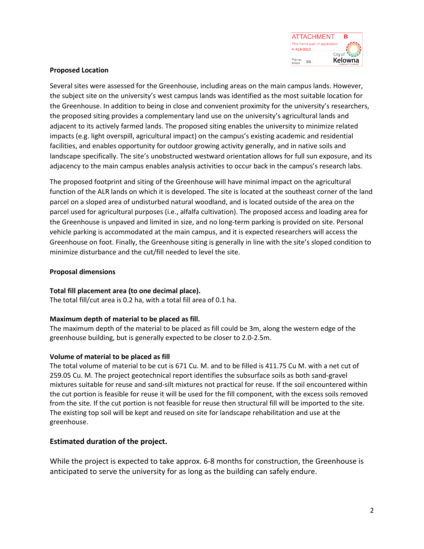

## **Proposed Location**

Several sites were assessed for the Greenhouse, including areas on the main campus lands. However, the subject site on the university's west campus lands was identified as the most suitable location for the Greenhouse. In addition to being in close and convenient proximity for the university's researchers, the proposed siting provides a complementary land use on the university's agricultural lands and adjacent to its actively farmed lands. The proposed siting enables the university to minimize related impacts (e.g. light overspill, agricultural impact) on the campus's existing academic and residential facilities, and enables opportunity for outdoor growing activity generally, and in native soils and landscape specifically. The site's unobstructed westward orientation allows for full sun exposure, and its adjacency to the main campus enables analysis activities to occur back in the campus's research labs.

The proposed footprint and siting of the Greenhouse will have minimal impact on the agricultural function of the ALR lands on which it is developed. The site is located at the southeast corner of the land parcel on a sloped area of undisturbed natural woodland, and is located outside of the area on the parcel used for agricultural purposes (i.e., alfalfa cultivation). The proposed access and loading area for the Greenhouse is unpaved and limited in size, and no long-term parking is provided on site. Personal vehicle parking is accommodated at the main campus, and it is expected researchers will access the Greenhouse on foot. Finally, the Greenhouse siting is generally in line with the site's sloped condition to minimize disturbance and the cut/fill needed to level the site.

## **Proposal dimensions**

## **Total fill placement area (to one decimal place).**

The total fill/cut area is 0.2 ha, with a total fill area of 0.1 ha.

## **Maximum depth of material to be placed as fill.**

The maximum depth of the material to be placed as fill could be 3m, along the western edge of the greenhouse building, but is generally expected to be closer to 2.0-2.5m.

## **Volume of material to be placed as fill**

The total volume of material to be cut is 671 Cu. M. and to be filled is 411.75 Cu M. with a net cut of 259.05 Cu. M. The project geotechnical report identifies the subsurface soils as both sand-gravel mixtures suitable for reuse and sand-silt mixtures not practical for reuse. If the soil encountered within the cut portion is feasible for reuse it will be used for the fill component, with the excess soils removed from the site. If the cut portion is not feasible for reuse then structural fill will be imported to the site. The existing top soil will be kept and reused on site for landscape rehabilitation and use at the greenhouse.

## **Estimated duration of the project.**

While the project is expected to take approx. 6-8 months for construction, the Greenhouse is anticipated to serve the university for as long as the building can safely endure.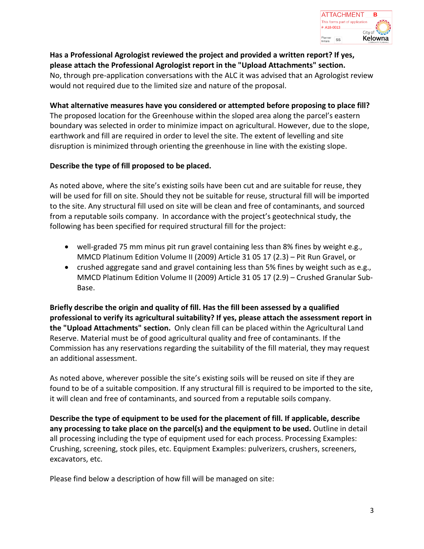

**Has a Professional Agrologist reviewed the project and provided a written report? If yes, please attach the Professional Agrologist report in the "Upload Attachments" section.** No, through pre-application conversations with the ALC it was advised that an Agrologist review would not required due to the limited size and nature of the proposal.

**What alternative measures have you considered or attempted before proposing to place fill?**

The proposed location for the Greenhouse within the sloped area along the parcel's eastern boundary was selected in order to minimize impact on agricultural. However, due to the slope, earthwork and fill are required in order to level the site. The extent of levelling and site disruption is minimized through orienting the greenhouse in line with the existing slope.

## **Describe the type of fill proposed to be placed.**

As noted above, where the site's existing soils have been cut and are suitable for reuse, they will be used for fill on site. Should they not be suitable for reuse, structural fill will be imported to the site. Any structural fill used on site will be clean and free of contaminants, and sourced from a reputable soils company. In accordance with the project's geotechnical study, the following has been specified for required structural fill for the project:

- well-graded 75 mm minus pit run gravel containing less than 8% fines by weight e.g., MMCD Platinum Edition Volume II (2009) Article 31 05 17 (2.3) – Pit Run Gravel, or
- crushed aggregate sand and gravel containing less than 5% fines by weight such as e.g., MMCD Platinum Edition Volume II (2009) Article 31 05 17 (2.9) – Crushed Granular Sub-Base.

**Briefly describe the origin and quality of fill. Has the fill been assessed by a qualified professional to verify its agricultural suitability? If yes, please attach the assessment report in the "Upload Attachments" section.** Only clean fill can be placed within the Agricultural Land Reserve. Material must be of good agricultural quality and free of contaminants. If the Commission has any reservations regarding the suitability of the fill material, they may request an additional assessment.

As noted above, wherever possible the site's existing soils will be reused on site if they are found to be of a suitable composition. If any structural fill is required to be imported to the site, it will clean and free of contaminants, and sourced from a reputable soils company.

**Describe the type of equipment to be used for the placement of fill. If applicable, describe any processing to take place on the parcel(s) and the equipment to be used.** Outline in detail all processing including the type of equipment used for each process. Processing Examples: Crushing, screening, stock piles, etc. Equipment Examples: pulverizers, crushers, screeners, excavators, etc.

Please find below a description of how fill will be managed on site: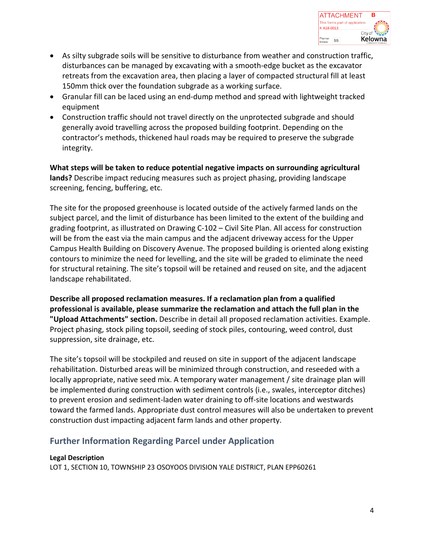

- As silty subgrade soils will be sensitive to disturbance from weather and construction traffic, disturbances can be managed by excavating with a smooth-edge bucket as the excavator retreats from the excavation area, then placing a layer of compacted structural fill at least 150mm thick over the foundation subgrade as a working surface.
- Granular fill can be laced using an end-dump method and spread with lightweight tracked equipment
- Construction traffic should not travel directly on the unprotected subgrade and should generally avoid travelling across the proposed building footprint. Depending on the contractor's methods, thickened haul roads may be required to preserve the subgrade integrity.

**What steps will be taken to reduce potential negative impacts on surrounding agricultural lands?** Describe impact reducing measures such as project phasing, providing landscape screening, fencing, buffering, etc.

The site for the proposed greenhouse is located outside of the actively farmed lands on the subject parcel, and the limit of disturbance has been limited to the extent of the building and grading footprint, as illustrated on Drawing C-102 – Civil Site Plan. All access for construction will be from the east via the main campus and the adjacent driveway access for the Upper Campus Health Building on Discovery Avenue. The proposed building is oriented along existing contours to minimize the need for levelling, and the site will be graded to eliminate the need for structural retaining. The site's topsoil will be retained and reused on site, and the adjacent landscape rehabilitated.

**Describe all proposed reclamation measures. If a reclamation plan from a qualified professional is available, please summarize the reclamation and attach the full plan in the "Upload Attachments" section.** Describe in detail all proposed reclamation activities. Example. Project phasing, stock piling topsoil, seeding of stock piles, contouring, weed control, dust suppression, site drainage, etc.

The site's topsoil will be stockpiled and reused on site in support of the adjacent landscape rehabilitation. Disturbed areas will be minimized through construction, and reseeded with a locally appropriate, native seed mix. A temporary water management / site drainage plan will be implemented during construction with sediment controls (i.e., swales, interceptor ditches) to prevent erosion and sediment-laden water draining to off-site locations and westwards toward the farmed lands. Appropriate dust control measures will also be undertaken to prevent construction dust impacting adjacent farm lands and other property.

# **Further Information Regarding Parcel under Application**

## **Legal Description**

LOT 1, SECTION 10, TOWNSHIP 23 OSOYOOS DIVISION YALE DISTRICT, PLAN EPP60261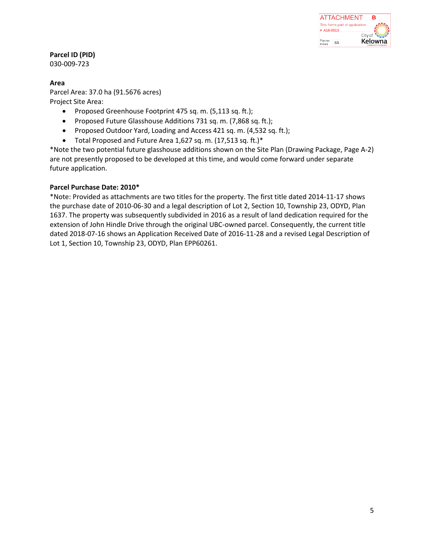

**Parcel ID (PID)**

030-009-723

## **Area**

Parcel Area: 37.0 ha (91.5676 acres) Project Site Area:

- Proposed Greenhouse Footprint 475 sq. m. (5,113 sq. ft.);
- Proposed Future Glasshouse Additions 731 sq. m. (7,868 sq. ft.);
- Proposed Outdoor Yard, Loading and Access 421 sq. m. (4,532 sq. ft.);
- Total Proposed and Future Area 1,627 sq. m. (17,513 sq. ft.)\*

\*Note the two potential future glasshouse additions shown on the Site Plan (Drawing Package, Page A-2) are not presently proposed to be developed at this time, and would come forward under separate future application.

## **Parcel Purchase Date: 2010\***

\*Note: Provided as attachments are two titles for the property. The first title dated 2014-11-17 shows the purchase date of 2010-06-30 and a legal description of Lot 2, Section 10, Township 23, ODYD, Plan 1637. The property was subsequently subdivided in 2016 as a result of land dedication required for the extension of John Hindle Drive through the original UBC-owned parcel. Consequently, the current title dated 2018-07-16 shows an Application Received Date of 2016-11-28 and a revised Legal Description of Lot 1, Section 10, Township 23, ODYD, Plan EPP60261.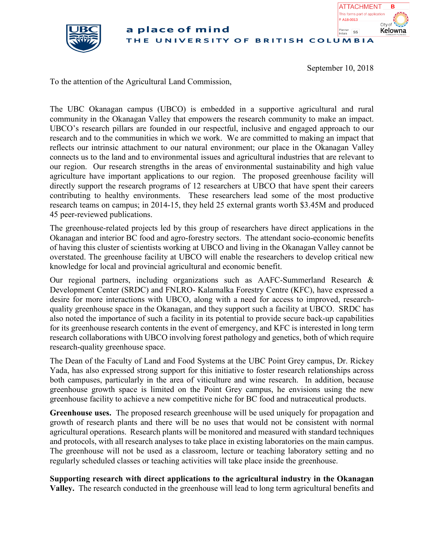

#### a place of mind Planner<br>SS UNIVERSITY OF BRITISH COLUMBIA

September 10, 2018

A18-0013

**ATTACHMENT** This forms part of application **B**

Kelowna

City of

To the attention of the Agricultural Land Commission,

The UBC Okanagan campus (UBCO) is embedded in a supportive agricultural and rural community in the Okanagan Valley that empowers the research community to make an impact. UBCO's research pillars are founded in our respectful, inclusive and engaged approach to our research and to the communities in which we work. We are committed to making an impact that reflects our intrinsic attachment to our natural environment; our place in the Okanagan Valley connects us to the land and to environmental issues and agricultural industries that are relevant to our region. Our research strengths in the areas of environmental sustainability and high value agriculture have important applications to our region. The proposed greenhouse facility will directly support the research programs of 12 researchers at UBCO that have spent their careers contributing to healthy environments. These researchers lead some of the most productive research teams on campus; in 2014-15, they held 25 external grants worth \$3.45M and produced 45 peer-reviewed publications.

The greenhouse-related projects led by this group of researchers have direct applications in the Okanagan and interior BC food and agro-forestry sectors. The attendant socio-economic benefits of having this cluster of scientists working at UBCO and living in the Okanagan Valley cannot be overstated. The greenhouse facility at UBCO will enable the researchers to develop critical new knowledge for local and provincial agricultural and economic benefit.

Our regional partners, including organizations such as AAFC-Summerland Research & Development Center (SRDC) and FNLRO- Kalamalka Forestry Centre (KFC), have expressed a desire for more interactions with UBCO, along with a need for access to improved, researchquality greenhouse space in the Okanagan, and they support such a facility at UBCO. SRDC has also noted the importance of such a facility in its potential to provide secure back-up capabilities for its greenhouse research contents in the event of emergency, and KFC is interested in long term research collaborations with UBCO involving forest pathology and genetics, both of which require research-quality greenhouse space.

The Dean of the Faculty of Land and Food Systems at the UBC Point Grey campus, Dr. Rickey Yada, has also expressed strong support for this initiative to foster research relationships across both campuses, particularly in the area of viticulture and wine research. In addition, because greenhouse growth space is limited on the Point Grey campus, he envisions using the new greenhouse facility to achieve a new competitive niche for BC food and nutraceutical products.

**Greenhouse uses.** The proposed research greenhouse will be used uniquely for propagation and growth of research plants and there will be no uses that would not be consistent with normal agricultural operations. Research plants will be monitored and measured with standard techniques and protocols, with all research analyses to take place in existing laboratories on the main campus. The greenhouse will not be used as a classroom, lecture or teaching laboratory setting and no regularly scheduled classes or teaching activities will take place inside the greenhouse.

**Supporting research with direct applications to the agricultural industry in the Okanagan Valley.** The research conducted in the greenhouse will lead to long term agricultural benefits and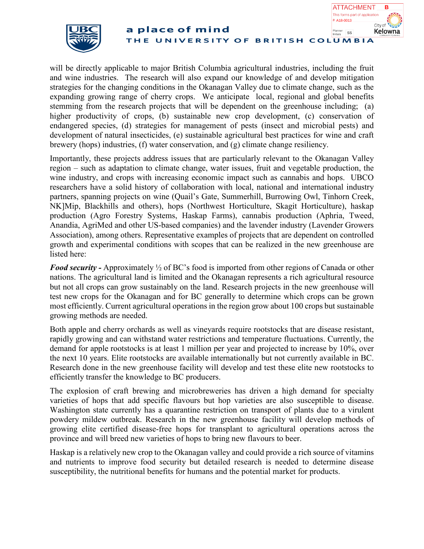



will be directly applicable to major British Columbia agricultural industries, including the fruit and wine industries. The research will also expand our knowledge of and develop mitigation strategies for the changing conditions in the Okanagan Valley due to climate change, such as the expanding growing range of cherry crops. We anticipate local, regional and global benefits stemming from the research projects that will be dependent on the greenhouse including; (a) higher productivity of crops, (b) sustainable new crop development, (c) conservation of endangered species, (d) strategies for management of pests (insect and microbial pests) and development of natural insecticides, (e) sustainable agricultural best practices for wine and craft brewery (hops) industries, (f) water conservation, and (g) climate change resiliency.

Importantly, these projects address issues that are particularly relevant to the Okanagan Valley region – such as adaptation to climate change, water issues, fruit and vegetable production, the wine industry, and crops with increasing economic impact such as cannabis and hops. UBCO researchers have a solid history of collaboration with local, national and international industry partners, spanning projects on wine (Quail's Gate, Summerhill, Burrowing Owl, Tinhorn Creek, NK]Mip, Blackhills and others), hops (Northwest Horticulture, Skagit Horticulture), haskap production (Agro Forestry Systems, Haskap Farms), cannabis production (Aphria, Tweed, Anandia, AgriMed and other US-based companies) and the lavender industry (Lavender Growers Association), among others. Representative examples of projects that are dependent on controlled growth and experimental conditions with scopes that can be realized in the new greenhouse are listed here:

*Food security -* Approximately ½ of BC's food is imported from other regions of Canada or other nations. The agricultural land is limited and the Okanagan represents a rich agricultural resource but not all crops can grow sustainably on the land. Research projects in the new greenhouse will test new crops for the Okanagan and for BC generally to determine which crops can be grown most efficiently. Current agricultural operations in the region grow about 100 crops but sustainable growing methods are needed.

Both apple and cherry orchards as well as vineyards require rootstocks that are disease resistant, rapidly growing and can withstand water restrictions and temperature fluctuations. Currently, the demand for apple rootstocks is at least 1 million per year and projected to increase by 10%, over the next 10 years. Elite rootstocks are available internationally but not currently available in BC. Research done in the new greenhouse facility will develop and test these elite new rootstocks to efficiently transfer the knowledge to BC producers.

The explosion of craft brewing and microbreweries has driven a high demand for specialty varieties of hops that add specific flavours but hop varieties are also susceptible to disease. Washington state currently has a quarantine restriction on transport of plants due to a virulent powdery mildew outbreak. Research in the new greenhouse facility will develop methods of growing elite certified disease-free hops for transplant to agricultural operations across the province and will breed new varieties of hops to bring new flavours to beer.

Haskap is a relatively new crop to the Okanagan valley and could provide a rich source of vitamins and nutrients to improve food security but detailed research is needed to determine disease susceptibility, the nutritional benefits for humans and the potential market for products.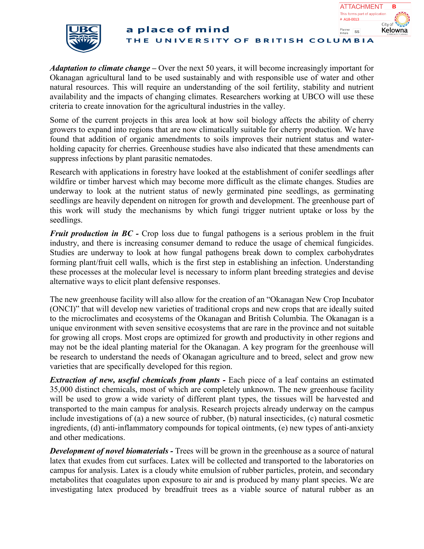



*Adaptation to climate change –* Over the next 50 years, it will become increasingly important for Okanagan agricultural land to be used sustainably and with responsible use of water and other natural resources. This will require an understanding of the soil fertility, stability and nutrient availability and the impacts of changing climates. Researchers working at UBCO will use these criteria to create innovation for the agricultural industries in the valley.

Some of the current projects in this area look at how soil biology affects the ability of cherry growers to expand into regions that are now climatically suitable for cherry production. We have found that addition of organic amendments to soils improves their nutrient status and waterholding capacity for cherries. Greenhouse studies have also indicated that these amendments can suppress infections by plant parasitic nematodes.

Research with applications in forestry have looked at the establishment of conifer seedlings after wildfire or timber harvest which may become more difficult as the climate changes. Studies are underway to look at the nutrient status of newly germinated pine seedlings, as germinating seedlings are heavily dependent on nitrogen for growth and development. The greenhouse part of this work will study the mechanisms by which fungi trigger nutrient uptake or loss by the seedlings.

*Fruit production in BC* - Crop loss due to fungal pathogens is a serious problem in the fruit industry, and there is increasing consumer demand to reduce the usage of chemical fungicides. Studies are underway to look at how fungal pathogens break down to complex carbohydrates forming plant/fruit cell walls, which is the first step in establishing an infection. Understanding these processes at the molecular level is necessary to inform plant breeding strategies and devise alternative ways to elicit plant defensive responses.

The new greenhouse facility will also allow for the creation of an "Okanagan New Crop Incubator (ONCI)" that will develop new varieties of traditional crops and new crops that are ideally suited to the microclimates and ecosystems of the Okanagan and British Columbia. The Okanagan is a unique environment with seven sensitive ecosystems that are rare in the province and not suitable for growing all crops. Most crops are optimized for growth and productivity in other regions and may not be the ideal planting material for the Okanagan. A key program for the greenhouse will be research to understand the needs of Okanagan agriculture and to breed, select and grow new varieties that are specifically developed for this region.

*Extraction of new, useful chemicals from plants -* Each piece of a leaf contains an estimated 35,000 distinct chemicals, most of which are completely unknown. The new greenhouse facility will be used to grow a wide variety of different plant types, the tissues will be harvested and transported to the main campus for analysis. Research projects already underway on the campus include investigations of (a) a new source of rubber, (b) natural insecticides, (c) natural cosmetic ingredients, (d) anti-inflammatory compounds for topical ointments, (e) new types of anti-anxiety and other medications.

*Development of novel biomaterials* - Trees will be grown in the greenhouse as a source of natural latex that exudes from cut surfaces. Latex will be collected and transported to the laboratories on campus for analysis. Latex is a cloudy white emulsion of rubber particles, protein, and secondary metabolites that coagulates upon exposure to air and is produced by many plant species. We are investigating latex produced by breadfruit trees as a viable source of natural rubber as an